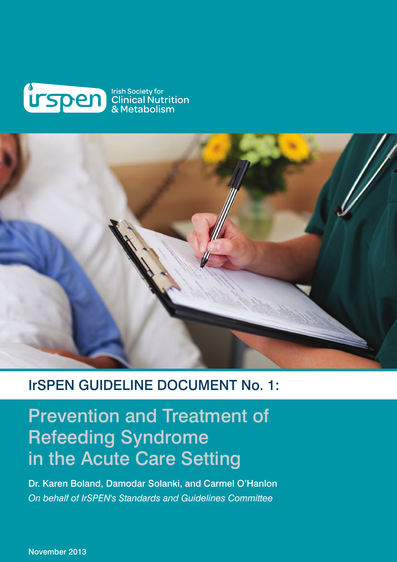



### IrSPEN GUIDELINE DOCUMENT No. 1:

### Prevention and Treatment of Refeeding Syndrome in the Acute Care Setting

Dr. Karen Boland, Damodar Solanki, and Carmel O'Hanlon *On behalf of IrSPEN's Standards and Guidelines Committee*

November 2013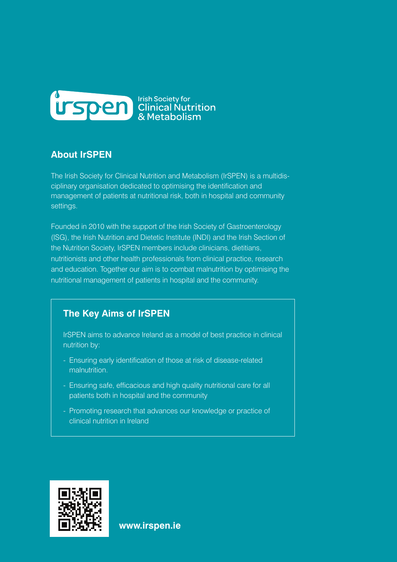

### **About IrSPEN**

The Irish Society for Clinical Nutrition and Metabolism (IrSPEN) is a multidisciplinary organisation dedicated to optimising the identification and management of patients at nutritional risk, both in hospital and community settings.

Founded in 2010 with the support of the Irish Society of Gastroenterology (ISG), the Irish Nutrition and Dietetic Institute (INDI) and the Irish Section of the Nutrition Society, IrSPEN members include clinicians, dietitians, nutritionists and other health professionals from clinical practice, research and education. Together our aim is to combat malnutrition by optimising the nutritional management of patients in hospital and the community.

### **The Key Aims of IrSPEN**

IrSPEN aims to advance Ireland as a model of best practice in clinical nutrition by:

- Ensuring early identification of those at risk of disease-related malnutrition.
- Ensuring safe, efficacious and high quality nutritional care for all patients both in hospital and the community
- Promoting research that advances our knowledge or practice of clinical nutrition in Ireland



**www.irspen.ie**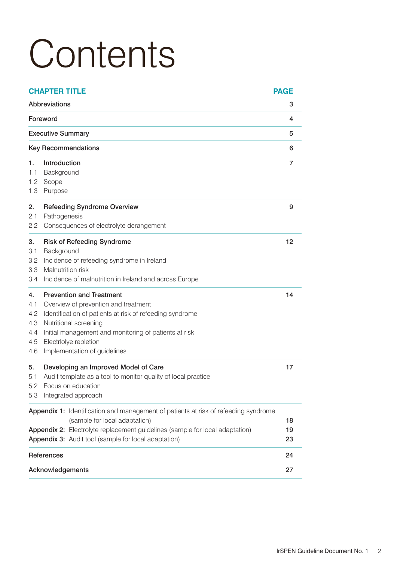# **Contents**

| Abbreviations<br>з<br>Foreword<br>4<br><b>Executive Summary</b><br>5<br><b>Key Recommendations</b><br>6<br>Introduction<br>7<br>1.<br>Background<br>1.1<br>Scope<br>1.2<br>Purpose<br>1.3<br><b>Refeeding Syndrome Overview</b><br>2.<br>9<br>Pathogenesis<br>2.1<br>Consequences of electrolyte derangement<br>2.2<br><b>Risk of Refeeding Syndrome</b><br>12<br>3.<br>Background<br>3.1<br>Incidence of refeeding syndrome in Ireland<br>3.2<br>Malnutrition risk<br>3.3<br>Incidence of malnutrition in Ireland and across Europe<br>3.4<br><b>Prevention and Treatment</b><br>14<br>4.<br>Overview of prevention and treatment<br>4.1<br>Identification of patients at risk of refeeding syndrome<br>4.2<br>Nutritional screening<br>4.3<br>Initial management and monitoring of patients at risk<br>4.4<br>Electrlolye repletion<br>4.5<br>Implementation of guidelines<br>4.6<br>Developing an Improved Model of Care<br>5.<br>17<br>Audit template as a tool to monitor quality of local practice<br>5.1<br>5.2<br>Focus on education<br>Integrated approach<br>5.3<br><b>Appendix 1:</b> Identification and management of patients at risk of refeeding syndrome<br>(sample for local adaptation)<br>18<br>Appendix 2: Electrolyte replacement guidelines (sample for local adaptation)<br>19<br>Appendix 3: Audit tool (sample for local adaptation)<br>23<br>References<br>24<br>27<br>Acknowledgements | <b>CHAPTER TITLE</b> |  | <b>PAGE</b> |
|-------------------------------------------------------------------------------------------------------------------------------------------------------------------------------------------------------------------------------------------------------------------------------------------------------------------------------------------------------------------------------------------------------------------------------------------------------------------------------------------------------------------------------------------------------------------------------------------------------------------------------------------------------------------------------------------------------------------------------------------------------------------------------------------------------------------------------------------------------------------------------------------------------------------------------------------------------------------------------------------------------------------------------------------------------------------------------------------------------------------------------------------------------------------------------------------------------------------------------------------------------------------------------------------------------------------------------------------------------------------------------------------------------------------|----------------------|--|-------------|
|                                                                                                                                                                                                                                                                                                                                                                                                                                                                                                                                                                                                                                                                                                                                                                                                                                                                                                                                                                                                                                                                                                                                                                                                                                                                                                                                                                                                                   |                      |  |             |
|                                                                                                                                                                                                                                                                                                                                                                                                                                                                                                                                                                                                                                                                                                                                                                                                                                                                                                                                                                                                                                                                                                                                                                                                                                                                                                                                                                                                                   |                      |  |             |
|                                                                                                                                                                                                                                                                                                                                                                                                                                                                                                                                                                                                                                                                                                                                                                                                                                                                                                                                                                                                                                                                                                                                                                                                                                                                                                                                                                                                                   |                      |  |             |
|                                                                                                                                                                                                                                                                                                                                                                                                                                                                                                                                                                                                                                                                                                                                                                                                                                                                                                                                                                                                                                                                                                                                                                                                                                                                                                                                                                                                                   |                      |  |             |
|                                                                                                                                                                                                                                                                                                                                                                                                                                                                                                                                                                                                                                                                                                                                                                                                                                                                                                                                                                                                                                                                                                                                                                                                                                                                                                                                                                                                                   |                      |  |             |
|                                                                                                                                                                                                                                                                                                                                                                                                                                                                                                                                                                                                                                                                                                                                                                                                                                                                                                                                                                                                                                                                                                                                                                                                                                                                                                                                                                                                                   |                      |  |             |
|                                                                                                                                                                                                                                                                                                                                                                                                                                                                                                                                                                                                                                                                                                                                                                                                                                                                                                                                                                                                                                                                                                                                                                                                                                                                                                                                                                                                                   |                      |  |             |
|                                                                                                                                                                                                                                                                                                                                                                                                                                                                                                                                                                                                                                                                                                                                                                                                                                                                                                                                                                                                                                                                                                                                                                                                                                                                                                                                                                                                                   |                      |  |             |
|                                                                                                                                                                                                                                                                                                                                                                                                                                                                                                                                                                                                                                                                                                                                                                                                                                                                                                                                                                                                                                                                                                                                                                                                                                                                                                                                                                                                                   |                      |  |             |
|                                                                                                                                                                                                                                                                                                                                                                                                                                                                                                                                                                                                                                                                                                                                                                                                                                                                                                                                                                                                                                                                                                                                                                                                                                                                                                                                                                                                                   |                      |  |             |
|                                                                                                                                                                                                                                                                                                                                                                                                                                                                                                                                                                                                                                                                                                                                                                                                                                                                                                                                                                                                                                                                                                                                                                                                                                                                                                                                                                                                                   |                      |  |             |
|                                                                                                                                                                                                                                                                                                                                                                                                                                                                                                                                                                                                                                                                                                                                                                                                                                                                                                                                                                                                                                                                                                                                                                                                                                                                                                                                                                                                                   |                      |  |             |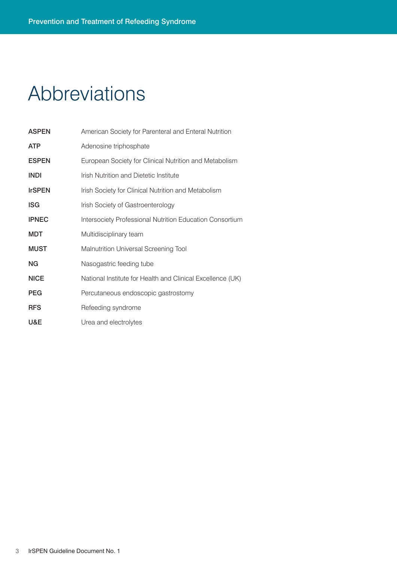# Abbreviations

| <b>ASPEN</b>  | American Society for Parenteral and Enteral Nutrition      |
|---------------|------------------------------------------------------------|
| <b>ATP</b>    | Adenosine triphosphate                                     |
| <b>ESPEN</b>  | European Society for Clinical Nutrition and Metabolism     |
| <b>INDI</b>   | Irish Nutrition and Dietetic Institute                     |
| <b>IrSPEN</b> | Irish Society for Clinical Nutrition and Metabolism        |
| <b>ISG</b>    | Irish Society of Gastroenterology                          |
| <b>IPNEC</b>  | Intersociety Professional Nutrition Education Consortium   |
| <b>MDT</b>    | Multidisciplinary team                                     |
| <b>MUST</b>   | Malnutrition Universal Screening Tool                      |
| NG            | Nasogastric feeding tube                                   |
| <b>NICE</b>   | National Institute for Health and Clinical Excellence (UK) |
| <b>PEG</b>    | Percutaneous endoscopic gastrostomy                        |
| <b>RFS</b>    | Refeeding syndrome                                         |
| U&E           | Urea and electrolytes                                      |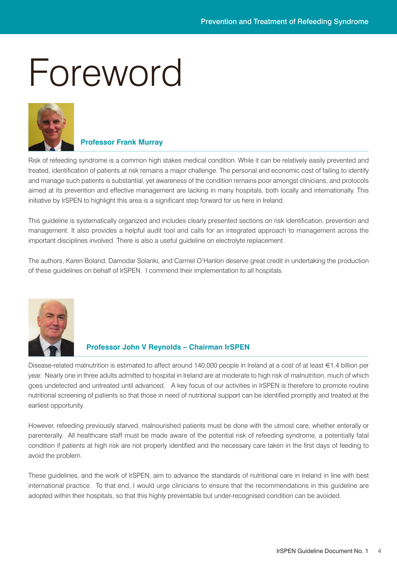# Foreword



#### **Professor Frank Murray**

Risk of refeeding syndrome is a common high stakes medical condition. While it can be relatively easily prevented and treated, identification of patients at risk remains a major challenge. The personal and economic cost of failing to identify and manage such patients is substantial, yet awareness of the condition remains poor amongst clinicians, and protocols aimed at its prevention and effective management are lacking in many hospitals, both locally and internationally. This initiative by IrSPEN to highlight this area is a significant step forward for us here in Ireland.

This guideline is systematically organized and includes clearly presented sections on risk identification, prevention and management. It also provides a helpful audit tool and calls for an integrated approach to management across the important disciplines involved. There is also a useful guideline on electrolyte replacement.

The authors, Karen Boland, Damodar Solanki, and Carmel O'Hanlon deserve great credit in undertaking the production of these guidelines on behalf of IrSPEN. I commend their implementation to all hospitals.



#### **Professor John V Reynolds – Chairman IrSPEN**

Disease-related malnutrition is estimated to affect around 140,000 people in Ireland at a cost of at least €1.4 billion per year. Nearly one in three adults admitted to hospital in Ireland are at moderate to high risk of malnutrition, much of which goes undetected and untreated until advanced. A key focus of our activities in IrSPEN is therefore to promote routine nutritional screening of patients so that those in need of nutritional support can be identified promptly and treated at the earliest opportunity.

However, refeeding previously starved, malnourished patients must be done with the utmost care, whether enterally or parenterally. All healthcare staff must be made aware of the potential risk of refeeding syndrome, a potentially fatal condition if patients at high risk are not properly identified and the necessary care taken in the first days of feeding to avoid the problem.

These guidelines, and the work of IrSPEN, aim to advance the standards of nutritional care in Ireland in line with best international practice. To that end, I would urge clinicians to ensure that the recommendations in this guideline are adopted within their hospitals, so that this highly preventable but under-recognised condition can be avoided.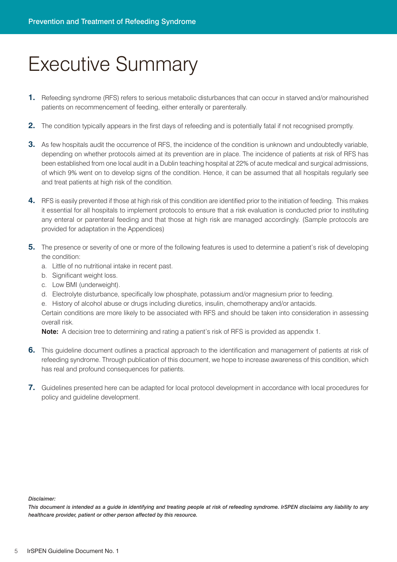### Executive Summary

- **1.** Refeeding syndrome (RFS) refers to serious metabolic disturbances that can occur in starved and/or malnourished patients on recommencement of feeding, either enterally or parenterally.
- **2.** The condition typically appears in the first days of refeeding and is potentially fatal if not recognised promptly.
- **3.** As few hospitals audit the occurrence of RFS, the incidence of the condition is unknown and undoubtedly variable, depending on whether protocols aimed at its prevention are in place. The incidence of patients at risk of RFS has been established from one local audit in a Dublin teaching hospital at 22% of acute medical and surgical admissions, of which 9% went on to develop signs of the condition. Hence, it can be assumed that all hospitals regularly see and treat patients at high risk of the condition.
- **4.** RFS is easily prevented if those at high risk of this condition are identified prior to the initiation of feeding. This makes it essential for all hospitals to implement protocols to ensure that a risk evaluation is conducted prior to instituting any enteral or parenteral feeding and that those at high risk are managed accordingly. (Sample protocols are provided for adaptation in the Appendices)
- **5.** The presence or severity of one or more of the following features is used to determine a patient's risk of developing the condition:
	- a. Little of no nutritional intake in recent past.
	- b. Significant weight loss.
	- c. Low BMI (underweight).
	- d. Electrolyte disturbance, specifically low phosphate, potassium and/or magnesium prior to feeding.

e. History of alcohol abuse or drugs including diuretics, insulin, chemotherapy and/or antacids.

Certain conditions are more likely to be associated with RFS and should be taken into consideration in assessing overall risk.

**Note:** A decision tree to determining and rating a patient's risk of RFS is provided as appendix 1.

- **6.** This guideline document outlines a practical approach to the identification and management of patients at risk of refeeding syndrome. Through publication of this document, we hope to increase awareness of this condition, which has real and profound consequences for patients.
- **7.** Guidelines presented here can be adapted for local protocol development in accordance with local procedures for policy and guideline development.

*Disclaimer:*

This document is intended as a guide in identifying and treating people at risk of refeeding syndrome. IrSPEN disclaims any liability to any *healthcare provider, patient or other person affected by this resource.*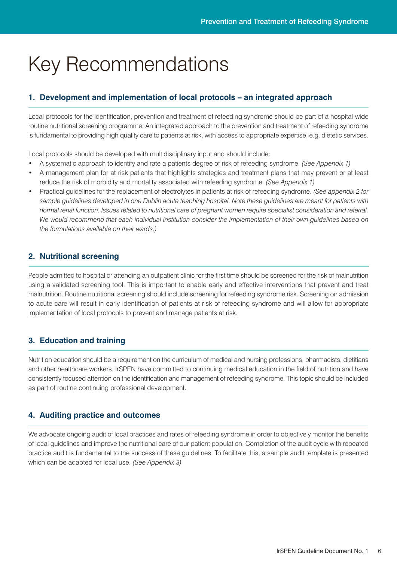# Key Recommendations

#### **1. Development and implementation of local protocols – an integrated approach**

Local protocols for the identification, prevention and treatment of refeeding syndrome should be part of a hospital-wide routine nutritional screening programme. An integrated approach to the prevention and treatment of refeeding syndrome is fundamental to providing high quality care to patients at risk, with access to appropriate expertise, e.g. dietetic services.

Local protocols should be developed with multidisciplinary input and should include:

- A systematic approach to identify and rate a patients degree of risk of refeeding syndrome. *(See Appendix 1)*
- A management plan for at risk patients that highlights strategies and treatment plans that may prevent or at least reduce the risk of morbidity and mortality associated with refeeding syndrome. *(See Appendix 1)*
- Practical guidelines for the replacement of electrolytes in patients at risk of refeeding syndrome. *(See appendix 2 for* sample guidelines developed in one Dublin acute teaching hospital. Note these guidelines are meant for patients with normal renal function. Issues related to nutritional care of pregnant women require specialist consideration and referral. *We would recommend that each individual institution consider the implementation of their own guidelines based on the formulations available on their wards.)*

#### **2. Nutritional screening**

People admitted to hospital or attending an outpatient clinic for the first time should be screened for the risk of malnutrition using a validated screening tool. This is important to enable early and effective interventions that prevent and treat malnutrition. Routine nutritional screening should include screening for refeeding syndrome risk. Screening on admission to acute care will result in early identification of patients at risk of refeeding syndrome and will allow for appropriate implementation of local protocols to prevent and manage patients at risk.

#### **3. Education and training**

Nutrition education should be a requirement on the curriculum of medical and nursing professions, pharmacists, dietitians and other healthcare workers. IrSPEN have committed to continuing medical education in the field of nutrition and have consistently focused attention on the identification and management of refeeding syndrome. This topic should be included as part of routine continuing professional development.

#### **4. Auditing practice and outcomes**

We advocate ongoing audit of local practices and rates of refeeding syndrome in order to objectively monitor the benefits of local guidelines and improve the nutritional care of our patient population. Completion of the audit cycle with repeated practice audit is fundamental to the success of these guidelines. To facilitate this, a sample audit template is presented which can be adapted for local use. *(See Appendix 3)*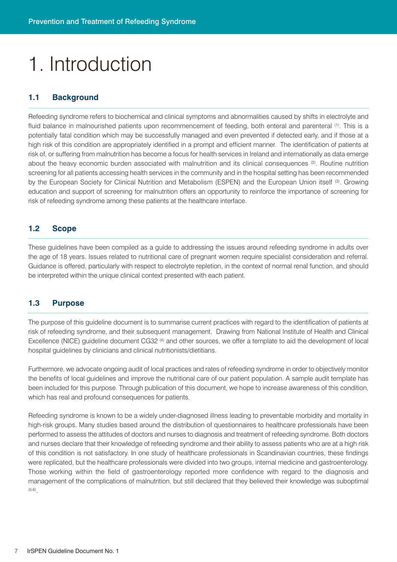# 1. Introduction

#### **1.1 Background**

Refeeding syndrome refers to biochemical and clinical symptoms and abnormalities caused by shifts in electrolyte and fluid balance in malnourished patients upon recommencement of feeding, both enteral and parenteral <sup>(1)</sup>. This is a potentially fatal condition which may be successfully managed and even prevented if detected early, and if those at a high risk of this condition are appropriately identified in a prompt and efficient manner. The identification of patients at risk of, or suffering from malnutrition has become a focus for health services in Ireland and internationally as data emerge about the heavy economic burden associated with malnutrition and its clinical consequences <sup>(2)</sup>. Routine nutrition screening for all patients accessing health services in the community and in the hospital setting has been recommended by the European Society for Clinical Nutrition and Metabolism (ESPEN) and the European Union itself <sup>(3)</sup>. Growing education and support of screening for malnutrition offers an opportunity to reinforce the importance of screening for risk of refeeding syndrome among these patients at the healthcare interface.

#### **1.2 Scope**

These guidelines have been compiled as a guide to addressing the issues around refeeding syndrome in adults over the age of 18 years. Issues related to nutritional care of pregnant women require specialist consideration and referral. Guidance is offered, particularly with respect to electrolyte repletion, in the context of normal renal function, and should be interpreted within the unique clinical context presented with each patient.

#### **1.3 Purpose**

The purpose of this guideline document is to summarise current practices with regard to the identification of patients at risk of refeeding syndrome, and their subsequent management. Drawing from National Institute of Health and Clinical Excellence (NICE) guideline document CG32 (4) and other sources, we offer a template to aid the development of local hospital guidelines by clinicians and clinical nutritionists/dietitians.

Furthermore, we advocate ongoing audit of local practices and rates of refeeding syndrome in order to objectively monitor the benefits of local guidelines and improve the nutritional care of our patient population. A sample audit template has been included for this purpose. Through publication of this document, we hope to increase awareness of this condition, which has real and profound consequences for patients.

Refeeding syndrome is known to be a widely under-diagnosed illness leading to preventable morbidity and mortality in high-risk groups. Many studies based around the distribution of questionnaires to healthcare professionals have been performed to assess the attitudes of doctors and nurses to diagnosis and treatment of refeeding syndrome. Both doctors and nurses declare that their knowledge of refeeding syndrome and their ability to assess patients who are at a high risk of this condition is not satisfactory. In one study of healthcare professionals in Scandinavian countries, these findings were replicated, but the healthcare professionals were divided into two groups, internal medicine and gastroenterology. Those working within the field of gastroenterology reported more confidence with regard to the diagnosis and management of the complications of malnutrition, but still declared that they believed their knowledge was suboptimal (5,6) .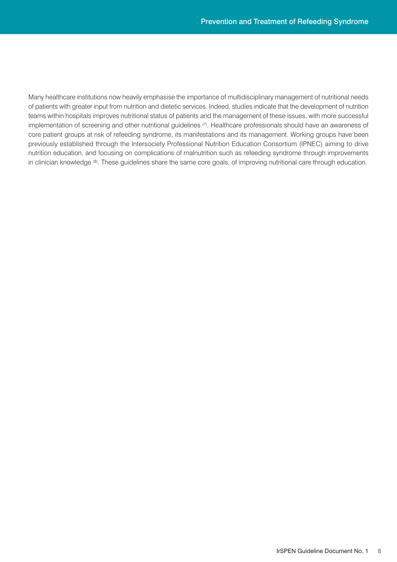Many healthcare institutions now heavily emphasise the importance of multidisciplinary management of nutritional needs of patients with greater input from nutrition and dietetic services. Indeed, studies indicate that the development of nutrition teams within hospitals improves nutritional status of patients and the management of these issues, with more successful implementation of screening and other nutritional guidelines <sup>(7)</sup>. Healthcare professionals should have an awareness of core patient groups at risk of refeeding syndrome, its manifestations and its management. Working groups have been previously established through the Intersociety Professional Nutrition Education Consortium (IPNEC) aiming to drive nutrition education, and focusing on complications of malnutrition such as refeeding syndrome through improvements in clinician knowledge ®. These guidelines share the same core goals, of improving nutritional care through education.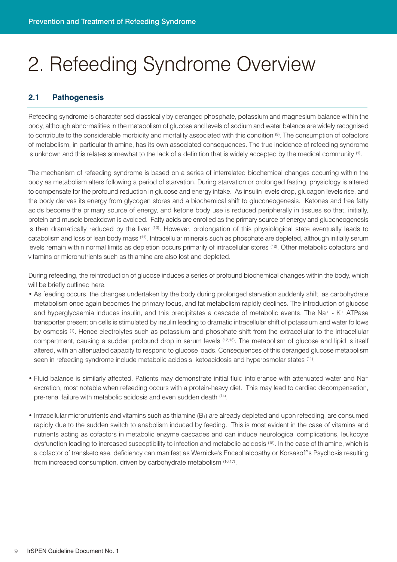# 2. Refeeding Syndrome Overview

#### **2.1 Pathogenesis**

Refeeding syndrome is characterised classically by deranged phosphate, potassium and magnesium balance within the body, although abnormalities in the metabolism of glucose and levels of sodium and water balance are widely recognised to contribute to the considerable morbidity and mortality associated with this condition (9) . The consumption of cofactors of metabolism, in particular thiamine, has its own associated consequences. The true incidence of refeeding syndrome is unknown and this relates somewhat to the lack of a definition that is widely accepted by the medical community <sup>(1)</sup>.

The mechanism of refeeding syndrome is based on a series of interrelated biochemical changes occurring within the body as metabolism alters following a period of starvation. During starvation or prolonged fasting, physiology is altered to compensate for the profound reduction in glucose and energy intake. As insulin levels drop, glucagon levels rise, and the body derives its energy from glycogen stores and a biochemical shift to gluconeogenesis. Ketones and free fatty acids become the primary source of energy, and ketone body use is reduced peripherally in tissues so that, initially, protein and muscle breakdown is avoided. Fatty acids are enrolled as the primary source of energy and gluconeogenesis is then dramatically reduced by the liver <sup>(10)</sup>. However, prolongation of this physiological state eventually leads to catabolism and loss of lean body mass (11) . Intracellular minerals such as phosphate are depleted, although initially serum levels remain within normal limits as depletion occurs primarily of intracellular stores (12) . Other metabolic cofactors and vitamins or micronutrients such as thiamine are also lost and depleted.

During refeeding, the reintroduction of glucose induces a series of profound biochemical changes within the body, which will be briefly outlined here.

- As feeding occurs, the changes undertaken by the body during prolonged starvation suddenly shift, as carbohydrate metabolism once again becomes the primary focus, and fat metabolism rapidly declines. The introduction of glucose and hyperglycaemia induces insulin, and this precipitates a cascade of metabolic events. The Na+ - K+ ATPase transporter present on cells is stimulated by insulin leading to dramatic intracellular shift of potassium and water follows by osmosis <sup>(1)</sup>. Hence electrolytes such as potassium and phosphate shift from the extracellular to the intracellular compartment, causing a sudden profound drop in serum levels (12,13) . The metabolism of glucose and lipid is itself altered, with an attenuated capacity to respond to glucose loads. Consequences of this deranged glucose metabolism seen in refeeding syndrome include metabolic acidosis, ketoacidosis and hyperosmolar states <sup>(11)</sup>.
- Fluid balance is similarly affected. Patients may demonstrate initial fluid intolerance with attenuated water and Na+ excretion, most notable when refeeding occurs with a protein-heavy diet. This may lead to cardiac decompensation, pre-renal failure with metabolic acidosis and even sudden death (14) .
- $\bullet$  Intracellular micronutrients and vitamins such as thiamine  $(B<sub>1</sub>)$  are already depleted and upon refeeding, are consumed rapidly due to the sudden switch to anabolism induced by feeding. This is most evident in the case of vitamins and nutrients acting as cofactors in metabolic enzyme cascades and can induce neurological complications, leukocyte dysfunction leading to increased susceptibility to infection and metabolic acidosis (15) . In the case of thiamine, which is a cofactor of transketolase, deficiency can manifest as Wernicke's Encephalopathy or Korsakoff's Psychosis resulting from increased consumption, driven by carbohydrate metabolism (16,17) .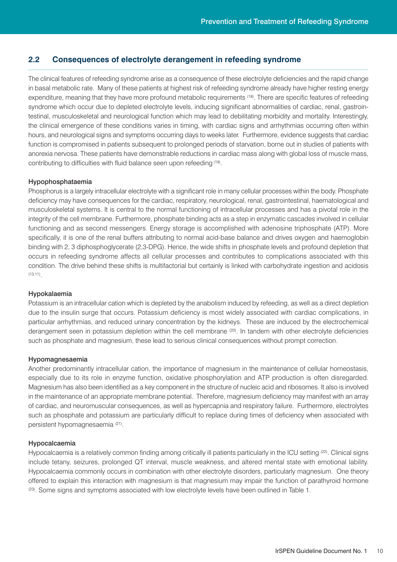#### **2.2 Consequences of electrolyte derangement in refeeding syndrome**

The clinical features of refeeding syndrome arise as a consequence of these electrolyte deficiencies and the rapid change in basal metabolic rate. Many of these patients at highest risk of refeeding syndrome already have higher resting energy expenditure, meaning that they have more profound metabolic requirements (18) . There are specific features of refeeding syndrome which occur due to depleted electrolyte levels, inducing significant abnormalities of cardiac, renal, gastrointestinal, musculoskeletal and neurological function which may lead to debilitating morbidity and mortality. Interestingly, the clinical emergence of these conditions varies in timing, with cardiac signs and arrhythmias occurring often within hours, and neurological signs and symptoms occurring days to weeks later. Furthermore, evidence suggests that cardiac function is compromised in patients subsequent to prolonged periods of starvation, borne out in studies of patients with anorexia nervosa. These patients have demonstrable reductions in cardiac mass along with global loss of muscle mass, contributing to difficulties with fluid balance seen upon refeeding (19) .

#### Hypophosphataemia

Phosphorus is a largely intracellular electrolyte with a significant role in many cellular processes within the body. Phosphate deficiency may have consequences for the cardiac, respiratory, neurological, renal, gastrointestinal, haematological and musculoskeletal systems. It is central to the normal functioning of intracellular processes and has a pivotal role in the integrity of the cell membrane. Furthermore, phosphate binding acts as a step in enzymatic cascades involved in cellular functioning and as second messengers. Energy storage is accomplished with adenosine triphosphate (ATP). More specifically, it is one of the renal buffers attributing to normal acid-base balance and drives oxygen and haemoglobin binding with 2, 3 diphosphoglycerate (2,3-DPG). Hence, the wide shifts in phosphate levels and profound depletion that occurs in refeeding syndrome affects all cellular processes and contributes to complications associated with this condition. The drive behind these shifts is multifactorial but certainly is linked with carbohydrate ingestion and acidosis (13,11) .

#### Hypokalaemia

Potassium is an intracellular cation which is depleted by the anabolism induced by refeeding, as well as a direct depletion due to the insulin surge that occurs. Potassium deficiency is most widely associated with cardiac complications, in particular arrhythmias, and reduced urinary concentration by the kidneys. These are induced by the electrochemical derangement seen in potassium depletion within the cell membrane <sup>(20)</sup>. In tandem with other electrolyte deficiencies such as phosphate and magnesium, these lead to serious clinical consequences without prompt correction.

#### Hypomagnesaemia

Another predominantly intracellular cation, the importance of magnesium in the maintenance of cellular homeostasis, especially due to its role in enzyme function, oxidative phosphorylation and ATP production is often disregarded. Magnesium has also been identified as a key component in the structure of nucleic acid and ribosomes. It also is involved in the maintenance of an appropriate membrane potential. Therefore, magnesium deficiency may manifest with an array of cardiac, and neuromuscular consequences, as well as hypercapnia and respiratory failure. Furthermore, electrolytes such as phosphate and potassium are particularly difficult to replace during times of deficiency when associated with persistent hypomagnesaemia (21) .

#### Hypocalcaemia

Hypocalcaemia is a relatively common finding among critically ill patients particularly in the ICU setting <sup>(22)</sup>. Clinical signs include tetany, seizures, prolonged QT interval, muscle weakness, and altered mental state with emotional lability. Hypocalcaemia commonly occurs in combination with other electrolyte disorders, particularly magnesium. One theory offered to explain this interaction with magnesium is that magnesium may impair the function of parathyroid hormone  $^{(23)}$ . Some signs and symptoms associated with low electrolyte levels have been outlined in Table 1.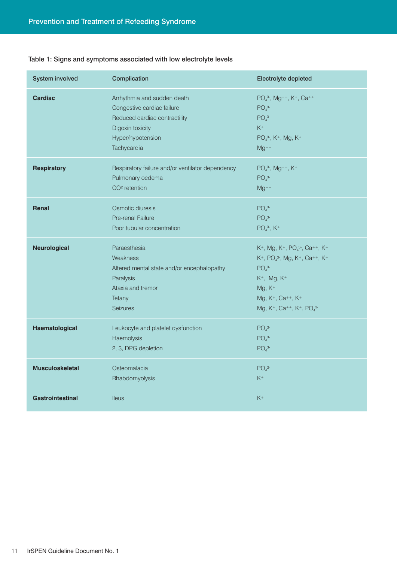| <b>System involved</b>  | Complication                                     | Electrolyte depleted                                                                                    |
|-------------------------|--------------------------------------------------|---------------------------------------------------------------------------------------------------------|
| <b>Cardiac</b>          | Arrhythmia and sudden death                      | PO <sub>4</sub> <sup>3</sup> , Mg <sup>++</sup> , K <sup>+</sup> , Ca <sup>++</sup>                     |
|                         | Congestive cardiac failure                       | PO <sub>4</sub> <sup>3</sup>                                                                            |
|                         | Reduced cardiac contractility                    | PO <sub>4</sub> <sup>3</sup>                                                                            |
|                         | Digoxin toxicity                                 | $K^+$                                                                                                   |
|                         | Hyper/hypotension                                | PO <sub>4</sub> <sup>3-</sup> , K <sup>+</sup> , Mg, K <sup>+</sup>                                     |
|                         | Tachycardia                                      | $Mg^{++}$                                                                                               |
| <b>Respiratory</b>      | Respiratory failure and/or ventilator dependency | $PO43-, Mg++, K+$                                                                                       |
|                         | Pulmonary oedema                                 | PO <sub>4</sub> <sup>3</sup>                                                                            |
|                         | CO <sup>2</sup> retention                        | $Mg^{++}$                                                                                               |
| <b>Renal</b>            | Osmotic diuresis                                 | PO <sub>4</sub> <sup>3</sup>                                                                            |
|                         | Pre-renal Failure                                | PO <sub>4</sub> <sup>3</sup>                                                                            |
|                         | Poor tubular concentration                       | $PO43-, K+$                                                                                             |
| <b>Neurological</b>     | Paraesthesia                                     | $K^+$ , Mg, K <sup>+</sup> , PO <sub>4</sub> <sup>3-</sup> , Ca <sup>++</sup> , K <sup>+</sup>          |
|                         | Weakness                                         | K <sup>+</sup> , PO <sub>4</sub> <sup>3-</sup> , Mg, K <sup>+</sup> , Ca <sup>++</sup> , K <sup>+</sup> |
|                         | Altered mental state and/or encephalopathy       | PO <sub>4</sub> <sup>3</sup>                                                                            |
|                         | Paralysis                                        | $K^+$ , Mg, $K^+$                                                                                       |
|                         | Ataxia and tremor                                | $Mg, K^+$                                                                                               |
|                         | Tetany                                           | Mg, K <sup>+</sup> , Ca <sup>++</sup> , K <sup>+</sup>                                                  |
|                         | <b>Seizures</b>                                  | Mg, K <sup>+</sup> , Ca <sup>++</sup> , K <sup>+</sup> , PO <sub>4</sub> <sup>3-</sup>                  |
| Haematological          | Leukocyte and platelet dysfunction               | PO <sub>4</sub> <sup>3</sup>                                                                            |
|                         | Haemolysis                                       | PO <sub>4</sub> <sup>3</sup>                                                                            |
|                         | 2, 3, DPG depletion                              | PO <sub>4</sub> <sup>3</sup>                                                                            |
| <b>Musculoskeletal</b>  | Osteomalacia                                     | $PO43-$                                                                                                 |
|                         | Rhabdomyolysis                                   | $K^+$                                                                                                   |
| <b>Gastrointestinal</b> | <b>Ileus</b>                                     | $K^+$                                                                                                   |

#### Table 1: Signs and symptoms associated with low electrolyte levels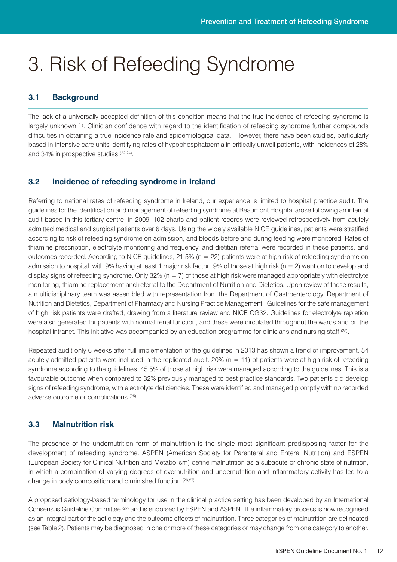# 3. Risk of Refeeding Syndrome

#### **3.1 Background**

The lack of a universally accepted definition of this condition means that the true incidence of refeeding syndrome is largely unknown <sup>(1)</sup>. Clinician confidence with regard to the identification of refeeding syndrome further compounds difficulties in obtaining a true incidence rate and epidemiological data. However, there have been studies, particularly based in intensive care units identifying rates of hypophosphataemia in critically unwell patients, with incidences of 28% and 34% in prospective studies (22,24).

#### **3.2 Incidence of refeeding syndrome in Ireland**

Referring to national rates of refeeding syndrome in Ireland, our experience is limited to hospital practice audit. The guidelines for the identification and management of refeeding syndrome at Beaumont Hospital arose following an internal audit based in this tertiary centre, in 2009. 102 charts and patient records were reviewed retrospectively from acutely admitted medical and surgical patients over 6 days. Using the widely available NICE guidelines, patients were stratified according to risk of refeeding syndrome on admission, and bloods before and during feeding were monitored. Rates of thiamine prescription, electrolyte monitoring and frequency, and dietitian referral were recorded in these patients, and outcomes recorded. According to NICE guidelines, 21.5% (n = 22) patients were at high risk of refeeding syndrome on admission to hospital, with 9% having at least 1 major risk factor. 9% of those at high risk ( $n = 2$ ) went on to develop and display signs of refeeding syndrome. Only 32% ( $n = 7$ ) of those at high risk were managed appropriately with electrolyte monitoring, thiamine replacement and referral to the Department of Nutrition and Dietetics. Upon review of these results, a multidisciplinary team was assembled with representation from the Department of Gastroenterology, Department of Nutrition and Dietetics, Department of Pharmacy and Nursing Practice Management. Guidelines for the safe management of high risk patients were drafted, drawing from a literature review and NICE CG32. Guidelines for electrolyte repletion were also generated for patients with normal renal function, and these were circulated throughout the wards and on the hospital intranet. This initiative was accompanied by an education programme for clinicians and nursing staff <sup>(25)</sup>.

Repeated audit only 6 weeks after full implementation of the guidelines in 2013 has shown a trend of improvement. 54 acutely admitted patients were included in the replicated audit. 20% ( $n = 11$ ) of patients were at high risk of refeeding syndrome according to the guidelines. 45.5% of those at high risk were managed according to the guidelines. This is a favourable outcome when compared to 32% previously managed to best practice standards. Two patients did develop signs of refeeding syndrome, with electrolyte deficiencies. These were identified and managed promptly with no recorded adverse outcome or complications (25) .

#### **3.3 Malnutrition risk**

The presence of the undernutrition form of malnutrition is the single most significant predisposing factor for the development of refeeding syndrome. ASPEN (American Society for Parenteral and Enteral Nutrition) and ESPEN (European Society for Clinical Nutrition and Metabolism) define malnutrition as a subacute or chronic state of nutrition, in which a combination of varying degrees of overnutrition and undernutrition and inflammatory activity has led to a change in body composition and diminished function (26,27) .

A proposed aetiology-based terminology for use in the clinical practice setting has been developed by an International Consensus Guideline Committee (27) and is endorsed by ESPEN and ASPEN. The inflammatory process is now recognised as an integral part of the aetiology and the outcome effects of malnutrition. Three categories of malnutrition are delineated (see Table 2). Patients may be diagnosed in one or more of these categories or may change from one category to another.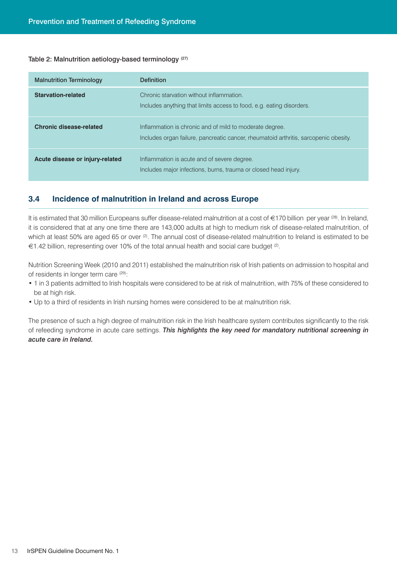#### Table 2: Malnutrition aetiology-based terminology<sup>(27)</sup>

| <b>Malnutrition Terminology</b> | <b>Definition</b>                                                                                                                               |
|---------------------------------|-------------------------------------------------------------------------------------------------------------------------------------------------|
| <b>Starvation-related</b>       | Chronic starvation without inflammation.<br>Includes anything that limits access to food, e.g. eating disorders.                                |
| <b>Chronic disease-related</b>  | Inflammation is chronic and of mild to moderate degree.<br>Includes organ failure, pancreatic cancer, rheumatoid arthritis, sarcopenic obesity. |
| Acute disease or injury-related | Inflammation is acute and of severe degree.<br>Includes major infections, burns, trauma or closed head injury.                                  |

#### **3.4 Incidence of malnutrition in Ireland and across Europe**

It is estimated that 30 million Europeans suffer disease-related malnutrition at a cost of €170 billion per year ©8). In Ireland, it is considered that at any one time there are 143,000 adults at high to medium risk of disease-related malnutrition, of which at least 50% are aged 65 or over <sup>(2)</sup>. The annual cost of disease-related malnutrition to Ireland is estimated to be €1.42 billion, representing over 10% of the total annual health and social care budget (2) .

Nutrition Screening Week (2010 and 2011) established the malnutrition risk of Irish patients on admission to hospital and of residents in longer term care (29):

- 1 in 3 patients admitted to Irish hospitals were considered to be at risk of malnutrition, with 75% of these considered to be at high risk.
- Up to a third of residents in Irish nursing homes were considered to be at malnutrition risk.

The presence of such a high degree of malnutrition risk in the Irish healthcare system contributes significantly to the risk of refeeding syndrome in acute care settings. *This highlights the key need for mandatory nutritional screening in acute care in Ireland.*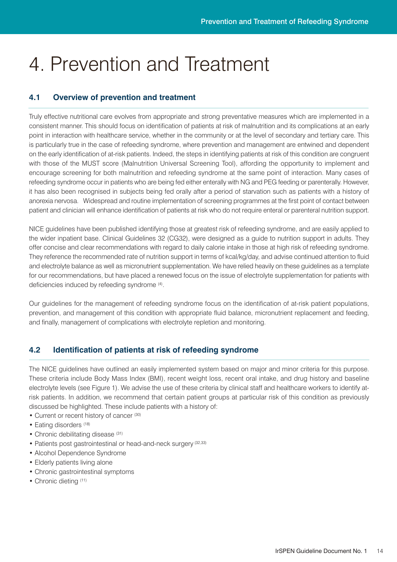# 4. Prevention and Treatment

#### **4.1 Overview of prevention and treatment**

Truly effective nutritional care evolves from appropriate and strong preventative measures which are implemented in a consistent manner. This should focus on identification of patients at risk of malnutrition and its complications at an early point in interaction with healthcare service, whether in the community or at the level of secondary and tertiary care. This is particularly true in the case of refeeding syndrome, where prevention and management are entwined and dependent on the early identification of at-risk patients. Indeed, the steps in identifying patients at risk of this condition are congruent with those of the MUST score (Malnutrition Universal Screening Tool), affording the opportunity to implement and encourage screening for both malnutrition and refeeding syndrome at the same point of interaction. Many cases of refeeding syndrome occur in patients who are being fed either enterally with NG and PEG feeding or parenterally. However, it has also been recognised in subjects being fed orally after a period of starvation such as patients with a history of anorexia nervosa. Widespread and routine implementation of screening programmes at the first point of contact between patient and clinician will enhance identification of patients at risk who do not require enteral or parenteral nutrition support.

NICE guidelines have been published identifying those at greatest risk of refeeding syndrome, and are easily applied to the wider inpatient base. Clinical Guidelines 32 (CG32), were designed as a guide to nutrition support in adults. They offer concise and clear recommendations with regard to daily calorie intake in those at high risk of refeeding syndrome. They reference the recommended rate of nutrition support in terms of kcal/kg/day, and advise continued attention to fluid and electrolyte balance as well as micronutrient supplementation. We have relied heavily on these guidelines as a template for our recommendations, but have placed a renewed focus on the issue of electrolyte supplementation for patients with deficiencies induced by refeeding syndrome (4).

Our guidelines for the management of refeeding syndrome focus on the identification of at-risk patient populations, prevention, and management of this condition with appropriate fluid balance, micronutrient replacement and feeding, and finally, management of complications with electrolyte repletion and monitoring.

#### **4.2 Identification of patients at risk of refeeding syndrome**

The NICE guidelines have outlined an easily implemented system based on major and minor criteria for this purpose. These criteria include Body Mass Index (BMI), recent weight loss, recent oral intake, and drug history and baseline electrolyte levels (see Figure 1). We advise the use of these criteria by clinical staff and healthcare workers to identify atrisk patients. In addition, we recommend that certain patient groups at particular risk of this condition as previously discussed be highlighted. These include patients with a history of:

- Current or recent history of cancer (30)
- Eating disorders (18)
- Chronic debilitating disease (31)
- Patients post gastrointestinal or head-and-neck surgery (32,33)
- Alcohol Dependence Syndrome
- Elderly patients living alone
- Chronic gastrointestinal symptoms
- Chronic dieting (11)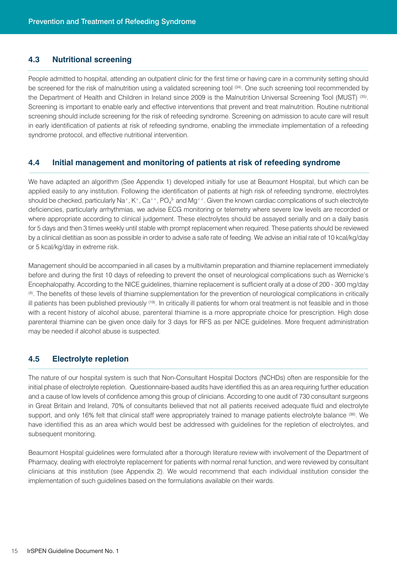#### **4.3 Nutritional screening**

People admitted to hospital, attending an outpatient clinic for the first time or having care in a community setting should be screened for the risk of malnutrition using a validated screening tool <sup>(34)</sup>. One such screening tool recommended by the Department of Health and Children in Ireland since 2009 is the Malnutrition Universal Screening Tool (MUST) <sup>(35)</sup>. Screening is important to enable early and effective interventions that prevent and treat malnutrition. Routine nutritional screening should include screening for the risk of refeeding syndrome. Screening on admission to acute care will result in early identification of patients at risk of refeeding syndrome, enabling the immediate implementation of a refeeding syndrome protocol, and effective nutritional intervention.

#### **4.4 Initial management and monitoring of patients at risk of refeeding syndrome**

We have adapted an algorithm (See Appendix 1) developed initially for use at Beaumont Hospital, but which can be applied easily to any institution. Following the identification of patients at high risk of refeeding syndrome, electrolytes should be checked, particularly Na+, K+, Ca++, PO $_4^3$  and Mg++. Given the known cardiac complications of such electrolyte deficiencies, particularly arrhythmias, we advise ECG monitoring or telemetry where severe low levels are recorded or where appropriate according to clinical judgement. These electrolytes should be assayed serially and on a daily basis for 5 days and then 3 times weekly until stable with prompt replacement when required. These patients should be reviewed by a clinical dietitian as soon as possible in order to advise a safe rate of feeding. We advise an initial rate of 10 kcal/kg/day or 5 kcal/kg/day in extreme risk.

Management should be accompanied in all cases by a multivitamin preparation and thiamine replacement immediately before and during the first 10 days of refeeding to prevent the onset of neurological complications such as Wernicke's Encephalopathy. According to the NICE guidelines, thiamine replacement is sufficient orally at a dose of 200 - 300 mg/day (4) . The benefits of these levels of thiamine supplementation for the prevention of neurological complications in critically ill patients has been published previously <sup>(19)</sup>. In critically ill patients for whom oral treatment is not feasible and in those with a recent history of alcohol abuse, parenteral thiamine is a more appropriate choice for prescription. High dose parenteral thiamine can be given once daily for 3 days for RFS as per NICE guidelines. More frequent administration may be needed if alcohol abuse is suspected.

#### **4.5 Electrolyte repletion**

The nature of our hospital system is such that Non-Consultant Hospital Doctors (NCHDs) often are responsible for the initial phase of electrolyte repletion. Questionnaire-based audits have identified this as an area requiring further education and a cause of low levels of confidence among this group of clinicians. According to one audit of 730 consultant surgeons in Great Britain and Ireland, 70% of consultants believed that not all patients received adequate fluid and electrolyte support, and only 16% felt that clinical staff were appropriately trained to manage patients electrolyte balance <sup>(36)</sup>. We have identified this as an area which would best be addressed with guidelines for the repletion of electrolytes, and subsequent monitoring.

Beaumont Hospital guidelines were formulated after a thorough literature review with involvement of the Department of Pharmacy, dealing with electrolyte replacement for patients with normal renal function, and were reviewed by consultant clinicians at this institution (see Appendix 2). We would recommend that each individual institution consider the implementation of such guidelines based on the formulations available on their wards.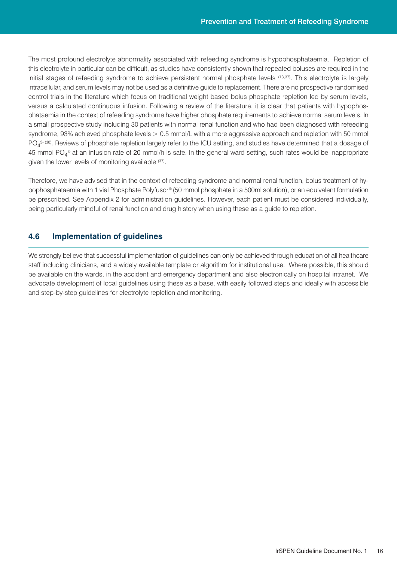The most profound electrolyte abnormality associated with refeeding syndrome is hypophosphataemia. Repletion of this electrolyte in particular can be difficult, as studies have consistently shown that repeated boluses are required in the initial stages of refeeding syndrome to achieve persistent normal phosphate levels (13,37) . This electrolyte is largely intracellular, and serum levels may not be used as a definitive guide to replacement. There are no prospective randomised control trials in the literature which focus on traditional weight based bolus phosphate repletion led by serum levels, versus a calculated continuous infusion. Following a review of the literature, it is clear that patients with hypophosphataemia in the context of refeeding syndrome have higher phosphate requirements to achieve normal serum levels. In a small prospective study including 30 patients with normal renal function and who had been diagnosed with refeeding syndrome, 93% achieved phosphate levels > 0.5 mmol/L with a more aggressive approach and repletion with 50 mmol  $PO_4^{3\cdot (38)}$ . Reviews of phosphate repletion largely refer to the ICU setting, and studies have determined that a dosage of 45 mmol PO<sub>4</sub><sup>3</sup> at an infusion rate of 20 mmol/h is safe. In the general ward setting, such rates would be inappropriate given the lower levels of monitoring available (37).

Therefore, we have advised that in the context of refeeding syndrome and normal renal function, bolus treatment of hypophosphataemia with 1 vial Phosphate Polyfusor® (50 mmol phosphate in a 500ml solution), or an equivalent formulation be prescribed. See Appendix 2 for administration guidelines. However, each patient must be considered individually, being particularly mindful of renal function and drug history when using these as a guide to repletion.

#### **4.6 Implementation of guidelines**

We strongly believe that successful implementation of guidelines can only be achieved through education of all healthcare staff including clinicians, and a widely available template or algorithm for institutional use. Where possible, this should be available on the wards, in the accident and emergency department and also electronically on hospital intranet. We advocate development of local guidelines using these as a base, with easily followed steps and ideally with accessible and step-by-step guidelines for electrolyte repletion and monitoring.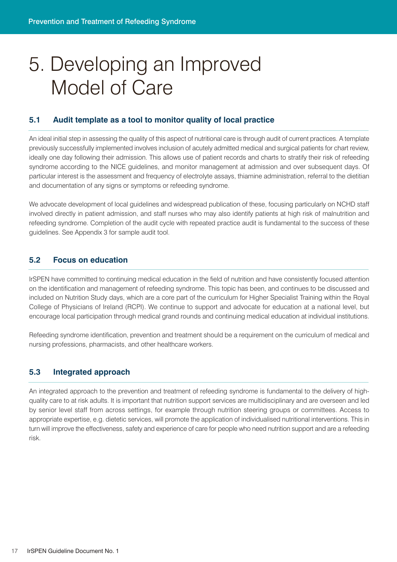# 5. Developing an Improved Model of Care

#### **5.1 Audit template as a tool to monitor quality of local practice**

An ideal initial step in assessing the quality of this aspect of nutritional care is through audit of current practices. A template previously successfully implemented involves inclusion of acutely admitted medical and surgical patients for chart review, ideally one day following their admission. This allows use of patient records and charts to stratify their risk of refeeding syndrome according to the NICE guidelines, and monitor management at admission and over subsequent days. Of particular interest is the assessment and frequency of electrolyte assays, thiamine administration, referral to the dietitian and documentation of any signs or symptoms or refeeding syndrome.

We advocate development of local guidelines and widespread publication of these, focusing particularly on NCHD staff involved directly in patient admission, and staff nurses who may also identify patients at high risk of malnutrition and refeeding syndrome. Completion of the audit cycle with repeated practice audit is fundamental to the success of these guidelines. See Appendix 3 for sample audit tool.

#### **5.2 Focus on education**

IrSPEN have committed to continuing medical education in the field of nutrition and have consistently focused attention on the identification and management of refeeding syndrome. This topic has been, and continues to be discussed and included on Nutrition Study days, which are a core part of the curriculum for Higher Specialist Training within the Royal College of Physicians of Ireland (RCPI). We continue to support and advocate for education at a national level, but encourage local participation through medical grand rounds and continuing medical education at individual institutions.

Refeeding syndrome identification, prevention and treatment should be a requirement on the curriculum of medical and nursing professions, pharmacists, and other healthcare workers.

#### **5.3 Integrated approach**

An integrated approach to the prevention and treatment of refeeding syndrome is fundamental to the delivery of highquality care to at risk adults. It is important that nutrition support services are multidisciplinary and are overseen and led by senior level staff from across settings, for example through nutrition steering groups or committees. Access to appropriate expertise, e.g. dietetic services, will promote the application of individualised nutritional interventions. This in turn will improve the effectiveness, safety and experience of care for people who need nutrition support and are a refeeding risk.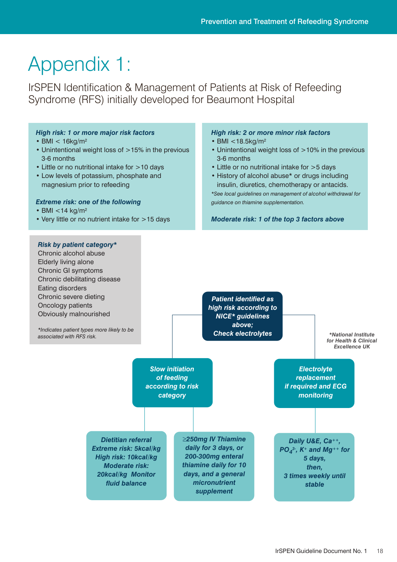# Appendix 1:

IrSPEN Identification & Management of Patients at Risk of Refeeding Syndrome (RFS) initially developed for Beaumont Hospital

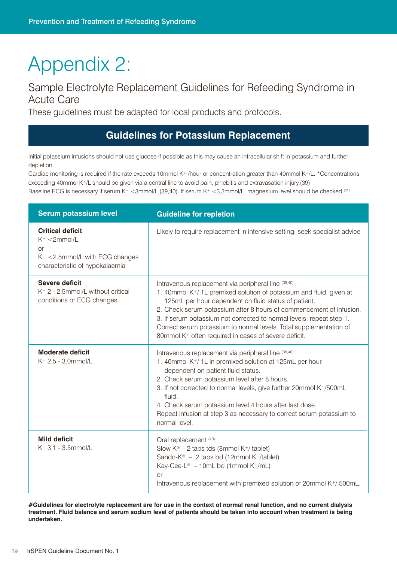# Appendix 2:

### Sample Electrolyte Replacement Guidelines for Refeeding Syndrome in Acute Care

These guidelines must be adapted for local products and protocols.

### **Guidelines for Potassium Replacement**

Initial potassium infusions should not use glucose if possible as this may cause an intracellular shift in potassium and further depletion.

Cardiac monitoring is required if the rate exceeds 10mmol K+ /hour or concentration greater than 40mmol K+/L. \*Concentrations exceeding 40mmol K+/L should be given via a central line to avoid pain, phlebitis and extravasation injury.(39) Baseline ECG is necessary if serum K+ <3mmol/L (39,40). If serum K+ <3.3mmol/L, magnesium level should be checked <sup>(41)</sup>.

| <b>Serum potassium level</b>                                                                                                     | <b>Guideline for repletion</b>                                                                                                                                                                                                                                                                                                                                                                                                                                                          |
|----------------------------------------------------------------------------------------------------------------------------------|-----------------------------------------------------------------------------------------------------------------------------------------------------------------------------------------------------------------------------------------------------------------------------------------------------------------------------------------------------------------------------------------------------------------------------------------------------------------------------------------|
| <b>Critical deficit</b><br>$K^+ < 2$ mmol/L<br><b>or</b><br>$K^+$ < 2.5mmol/L with ECG changes<br>characteristic of hypokalaemia | Likely to require replacement in intensive setting, seek specialist advice                                                                                                                                                                                                                                                                                                                                                                                                              |
| <b>Severe deficit</b><br>$K^+$ 2 - 2.5mmol/L without critical<br>conditions or ECG changes                                       | Intravenous replacement via peripheral line (39,40)<br>1. 40mmol K <sup>+</sup> /1L premixed solution of potassium and fluid, given at<br>125mL per hour dependent on fluid status of patient.<br>2. Check serum potassium after 8 hours of commencement of infusion.<br>3. If serum potassium not corrected to normal levels, repeat step 1.<br>Correct serum potassium to normal levels. Total supplementation of<br>80mmol K <sup>+</sup> often required in cases of severe deficit. |
| <b>Moderate deficit</b><br>$K^+$ 2.5 - 3.0mmol/L                                                                                 | Intravenous replacement via peripheral line (39,40)<br>1. 40mmol K <sup>+</sup> /1L in premixed solution at 125mL per hour,<br>dependent on patient fluid status.<br>2. Check serum potassium level after 8 hours.<br>3. If not corrected to normal levels, give further 20mmol K+/500mL<br>fluid.<br>4. Check serum potassium level 4 hours after last dose.<br>Repeat infusion at step 3 as necessary to correct serum potassium to<br>normal level.                                  |
| <b>Mild deficit</b><br>$K^+$ 3.1 - 3.5mmol/L                                                                                     | Oral replacement (40):<br>Slow $K^{\circledast}$ – 2 tabs tds (8mmol K <sup>+</sup> / tablet)<br>Sando-K <sup>®</sup> - 2 tabs bd (12mmol K <sup>+</sup> /tablet)<br>Kay-Cee-L <sup>®</sup> - 10mL bd (1mmol K <sup>+</sup> /mL)<br><b>or</b><br>Intravenous replacement with premixed solution of 20mmol K+/500mL.                                                                                                                                                                     |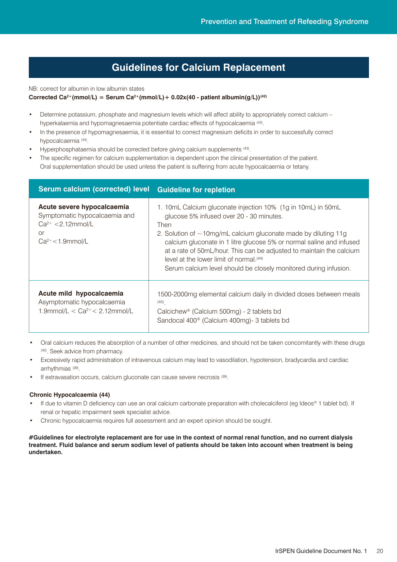### **Guidelines for Calcium Replacement**

NB: correct for albumin in low albumin states

#### **Corrected Ca<sup>2+</sup>(mmol/L)** = Serum Ca<sup>2+</sup>(mmol/L) +  $0.02x(40 -$  patient  $\frac{1}{2}$  albumin(g/L))<sup>(42)</sup>

- Determine potassium, phosphate and magnesium levels which will affect ability to appropriately correct calcium hyperkalaemia and hypomagnesaemia potentiate cardiac effects of hypocalcaemia (43) .
- In the presence of hypomagnesaemia, it is essential to correct magnesium deficits in order to successfully correct hypocalcaemia (44) .
- Hyperphosphataemia should be corrected before giving calcium supplements (43) .
- The specific regimen for calcium supplementation is dependent upon the clinical presentation of the patient. Oral supplementation should be used unless the patient is suffering from acute hypocalcaemia or tetany.

| <b>Serum calcium (corrected) level</b>                                                                              | <b>Guideline for repletion</b>                                                                                                                                                                                                                                                                                                                                                                                                                          |
|---------------------------------------------------------------------------------------------------------------------|---------------------------------------------------------------------------------------------------------------------------------------------------------------------------------------------------------------------------------------------------------------------------------------------------------------------------------------------------------------------------------------------------------------------------------------------------------|
| Acute severe hypocalcaemia<br>Symptomatic hypocalcaemia and<br>$Ca^{2+} < 2.12$ mmol/L<br>or<br>$Ca2+ < 1.9$ mmol/L | 1. 10mL Calcium gluconate injection 10% (1g in 10mL) in 50mL<br>glucose 5% infused over 20 - 30 minutes.<br>Then<br>2. Solution of $\sim$ 10mg/mL calcium gluconate made by diluting 11g<br>calcium gluconate in 1 litre glucose 5% or normal saline and infused<br>at a rate of 50mL/hour. This can be adjusted to maintain the calcium<br>level at the lower limit of normal (44)<br>Serum calcium level should be closely monitored during infusion. |
| Acute mild hypocalcaemia<br>Asymptomatic hypocalcaemia<br>1.9mmol/L < $Ca^{2+}$ < 2.12mmol/L                        | 1500-2000mg elemental calcium daily in divided doses between meals<br>(45)<br>Calcichew <sup>®</sup> (Calcium 500mg) - 2 tablets bd<br>Sandocal 400 <sup>®</sup> (Calcium 400mg)- 3 tablets bd                                                                                                                                                                                                                                                          |

- Oral calcium reduces the absorption of a number of other medicines, and should not be taken concomitantly with these drugs (40) . Seek advice from pharmacy.
- Excessively rapid administration of intravenous calcium may lead to vasodilation, hypotension, bradycardia and cardiac arrhythmias (39) .
- If extravasation occurs, calcium gluconate can cause severe necrosis (39).

#### **Chronic Hypocalcaemia (44)**

- If due to vitamin D deficiency can use an oral calcium carbonate preparation with cholecalciferol (eg Ideos® 1 tablet bd). If renal or hepatic impairment seek specialist advice.
- Chronic hypocalcaemia requires full assessment and an expert opinion should be sought.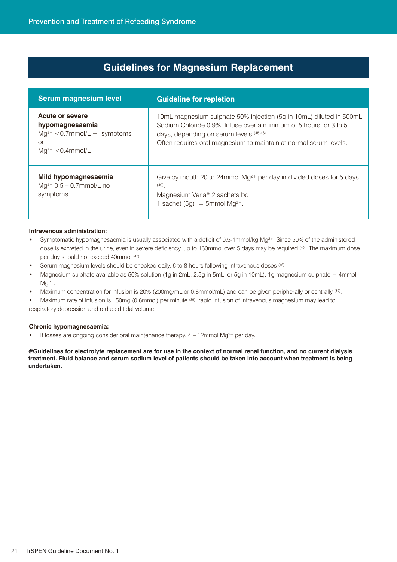### **Guidelines for Magnesium Replacement**

| <b>Serum magnesium level</b>                                                                                   | <b>Guideline for repletion</b>                                                                                                                                                                                                                            |
|----------------------------------------------------------------------------------------------------------------|-----------------------------------------------------------------------------------------------------------------------------------------------------------------------------------------------------------------------------------------------------------|
| <b>Acute or severe</b><br>hypomagnesaemia<br>$Mg^{2+} < 0.7$ mmol/L + symptoms<br>0r<br>$Mq^{2+} < 0.4$ mmol/L | 10mL magnesium sulphate 50% injection (5g in 10mL) diluted in 500mL<br>Sodium Chloride 0.9%. Infuse over a minimum of 5 hours for 3 to 5<br>days, depending on serum levels (45,46).<br>Often requires oral magnesium to maintain at normal serum levels. |
| Mild hypomagnesaemia<br>$Mq^{2+}$ 0.5 – 0.7mmol/L no<br>symptoms                                               | Give by mouth 20 to 24mmol $Mg^{2+}$ per day in divided doses for 5 days<br>(40)<br>Magnesium Verla <sup>®</sup> 2 sachets bd<br>1 sachet $(5g) = 5$ mmol Mg <sup>2+</sup> .                                                                              |

#### **Intravenous administration:**

- Symptomatic hypomagnesaemia is usually associated with a deficit of 0.5-1mmol/kg Mg2+. Since 50% of the administered dose is excreted in the urine, even in severe deficiency, up to 160mmol over 5 days may be required (40) . The maximum dose per day should not exceed 40mmol (47) .
- Serum magnesium levels should be checked daily, 6 to 8 hours following intravenous doses <sup>(46)</sup>.
- Magnesium sulphate available as 50% solution (1g in 2mL, 2.5g in 5mL, or 5g in 10mL). 1g magnesium sulphate = 4mmol  $Mq^{2+}$ .
- Maximum concentration for infusion is 20% (200mg/mL or 0.8mmol/mL) and can be given peripherally or centrally <sup>(39)</sup>.

• Maximum rate of infusion is 150mg (0.6mmol) per minute <sup>(39)</sup>, rapid infusion of intravenous magnesium may lead to respiratory depression and reduced tidal volume.

#### **Chronic hypomagnesaemia:**

• If losses are ongoing consider oral maintenance therapy,  $4 - 12$ mmol Mg<sup>2+</sup> per day.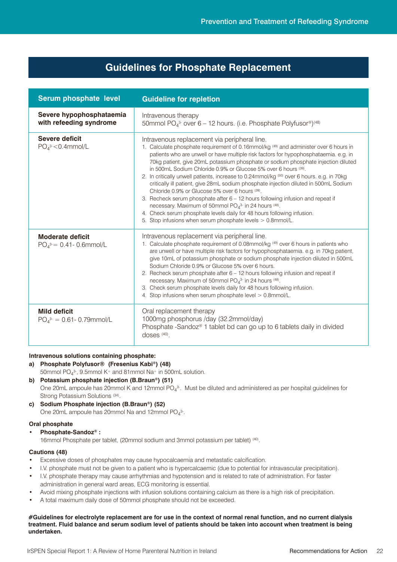### **Guidelines for Phosphate Replacement**

| Serum phosphate level                                   | <b>Guideline for repletion</b>                                                                                                                                                                                                                                                                                                                                                                                                                                                                                                                                                                                                                                                                                                                                                                                                                                                                                                       |
|---------------------------------------------------------|--------------------------------------------------------------------------------------------------------------------------------------------------------------------------------------------------------------------------------------------------------------------------------------------------------------------------------------------------------------------------------------------------------------------------------------------------------------------------------------------------------------------------------------------------------------------------------------------------------------------------------------------------------------------------------------------------------------------------------------------------------------------------------------------------------------------------------------------------------------------------------------------------------------------------------------|
| Severe hypophosphataemia<br>with refeeding syndrome     | Intravenous therapy<br>50mmol PO <sub>43</sub> - over 6 - 12 hours. (i.e. Phosphate Polyfusor®) <sup>(48)</sup>                                                                                                                                                                                                                                                                                                                                                                                                                                                                                                                                                                                                                                                                                                                                                                                                                      |
| <b>Severe deficit</b><br>$PO43-C.4mmol/L$               | Intravenous replacement via peripheral line.<br>1. Calculate phosphate requirement of 0.16mmol/kg <sup>(49)</sup> and administer over 6 hours in<br>patients who are unwell or have multiple risk factors for hypophosphataemia. e.g. in<br>70kg patient, give 20mL potassium phosphate or sodium phosphate injection diluted<br>in 500mL Sodium Chloride 0.9% or Glucose 5% over 6 hours (39).<br>2. In critically unwell patients, increase to 0.24mmol/kg (50) over 6 hours. e.g. in 70kg<br>critically ill patient, give 28mL sodium phosphate injection diluted in 500mL Sodium<br>Chloride 0.9% or Glucose 5% over 6 hours (39).<br>3. Recheck serum phosphate after 6 - 12 hours following infusion and repeat if<br>necessary. Maximum of 50mmol PO <sub>4</sub> 3 in 24 hours (48).<br>4. Check serum phosphate levels daily for 48 hours following infusion.<br>5. Stop infusions when serum phosphate levels > 0.8mmol/L. |
| <b>Moderate deficit</b><br>$PO_4^3 = 0.41 - 0.6$ mmol/L | Intravenous replacement via peripheral line.<br>1. Calculate phosphate requirement of 0.08mmol/kg <sup>(49)</sup> over 6 hours in patients who<br>are unwell or have multiple risk factors for hypophosphataemia. e.g. in 70kg patient,<br>give 10mL of potassium phosphate or sodium phosphate injection diluted in 500mL<br>Sodium Chloride 0.9% or Glucose 5% over 6 hours.<br>2. Recheck serum phosphate after 6 - 12 hours following infusion and repeat if<br>necessary. Maximum of 50mmol PO <sub>4</sub> 3- in 24 hours (48).<br>3. Check serum phosphate levels daily for 48 hours following infusion.<br>4. Stop infusions when serum phosphate level > 0.8mmol/L.                                                                                                                                                                                                                                                         |
| <b>Mild deficit</b><br>$PO43- = 0.61 - 0.79$ mmol/L     | Oral replacement therapy<br>1000mg phosphorus /day (32.2mmol/day)<br>Phosphate -Sandoz <sup>®</sup> 1 tablet bd can go up to 6 tablets daily in divided<br>doses $(40)$ .                                                                                                                                                                                                                                                                                                                                                                                                                                                                                                                                                                                                                                                                                                                                                            |

#### **Intravenous solutions containing phosphate:**

#### **a) Phosphate Polyfusor® (Fresenius Kabi ®) (48)**

50mmol PO $_4^3$ , 9.5mmol K+ and 81mmol Na+ in 500mL solution.

**b) Potassium phosphate injection (B.Braun®) (51)** One 20mL ampoule has 20mmol K and 12mmol PO<sub>4</sub><sup>3</sup>. Must be diluted and administered as per hospital guidelines for Strong Potassium Solutions (34).

**c) Sodium Phosphate injection (B.Braun®) (52)** One 20mL ampoule has 20mmol Na and 12mmol PO $_4$ <sup>3-</sup>.

#### **Oral phosphate**

#### **• Phosphate-Sandoz® :**

16mmol Phosphate per tablet, (20mmol sodium and 3mmol potassium per tablet) (40) .

#### **Cautions (48)**

- Excessive doses of phosphates may cause hypocalcaemia and metastatic calcification.
- I.V. phosphate must not be given to a patient who is hypercalcaemic (due to potential for intravascular precipitation).
- I.V. phosphate therapy may cause arrhythmias and hypotension and is related to rate of administration. For faster administration in general ward areas, ECG monitoring is essential.
- Avoid mixing phosphate injections with infusion solutions containing calcium as there is a high risk of precipitation.
- A total maximum daily dose of 50mmol phosphate should not be exceeded.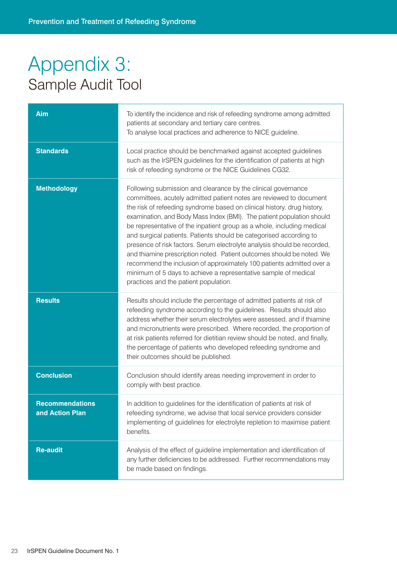### Appendix 3: Sample Audit Tool

| Aim                                       | To identify the incidence and risk of refeeding syndrome among admitted<br>patients at secondary and tertiary care centres.<br>To analyse local practices and adherence to NICE guideline.                                                                                                                                                                                                                                                                                                                                                                                                                                                                                                                                                                                         |  |
|-------------------------------------------|------------------------------------------------------------------------------------------------------------------------------------------------------------------------------------------------------------------------------------------------------------------------------------------------------------------------------------------------------------------------------------------------------------------------------------------------------------------------------------------------------------------------------------------------------------------------------------------------------------------------------------------------------------------------------------------------------------------------------------------------------------------------------------|--|
| <b>Standards</b>                          | Local practice should be benchmarked against accepted guidelines<br>such as the IrSPEN guidelines for the identification of patients at high<br>risk of refeeding syndrome or the NICE Guidelines CG32.                                                                                                                                                                                                                                                                                                                                                                                                                                                                                                                                                                            |  |
| <b>Methodology</b>                        | Following submission and clearance by the clinical governance<br>committees, acutely admitted patient notes are reviewed to document<br>the risk of refeeding syndrome based on clinical history, drug history,<br>examination, and Body Mass Index (BMI). The patient population should<br>be representative of the inpatient group as a whole, including medical<br>and surgical patients. Patients should be categorised according to<br>presence of risk factors. Serum electrolyte analysis should be recorded,<br>and thiamine prescription noted. Patient outcomes should be noted. We<br>recommend the inclusion of approximately 100 patients admitted over a<br>minimum of 5 days to achieve a representative sample of medical<br>practices and the patient population. |  |
| <b>Results</b>                            | Results should include the percentage of admitted patients at risk of<br>refeeding syndrome according to the guidelines. Results should also<br>address whether their serum electrolytes were assessed, and if thiamine<br>and micronutrients were prescribed. Where recorded, the proportion of<br>at risk patients referred for dietitian review should be noted, and finally,<br>the percentage of patients who developed refeeding syndrome and<br>their outcomes should be published.                                                                                                                                                                                                                                                                                         |  |
| <b>Conclusion</b>                         | Conclusion should identify areas needing improvement in order to<br>comply with best practice.                                                                                                                                                                                                                                                                                                                                                                                                                                                                                                                                                                                                                                                                                     |  |
| <b>Recommendations</b><br>and Action Plan | In addition to guidelines for the identification of patients at risk of<br>refeeding syndrome, we advise that local service providers consider<br>implementing of guidelines for electrolyte repletion to maximise patient<br>benefits.                                                                                                                                                                                                                                                                                                                                                                                                                                                                                                                                            |  |
| <b>Re-audit</b>                           | Analysis of the effect of guideline implementation and identification of<br>any further deficiencies to be addressed. Further recommendations may<br>be made based on findings.                                                                                                                                                                                                                                                                                                                                                                                                                                                                                                                                                                                                    |  |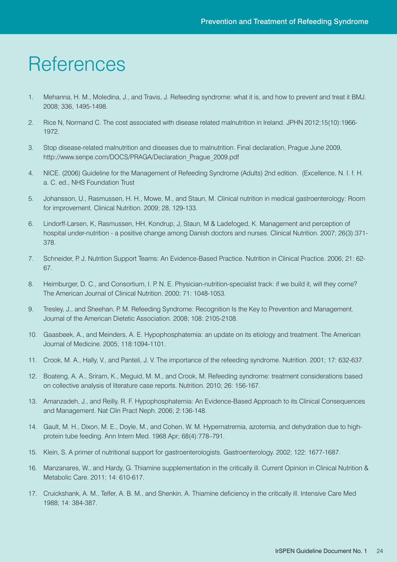### **References**

- 1. Mehanna, H. M., Moledina, J., and Travis, J. Refeeding syndrome: what it is, and how to prevent and treat it BMJ. 2008; 336, 1495-1498.
- 2. Rice N, Normand C. The cost associated with disease related malnutrition in Ireland. JPHN 2012;15(10):1966- 1972.
- 3. Stop disease-related malnutrition and diseases due to malnutrition. Final declaration, Prague June 2009, http://www.senpe.com/DOCS/PRAGA/Declaration\_Prague\_2009.pdf
- 4. NICE. (2006) Guideline for the Management of Refeeding Syndrome (Adults) 2nd edition. (Excellence, N. I. f. H. a. C. ed., NHS Foundation Trust
- 5. Johansson, U., Rasmussen, H. H., Mowe, M., and Staun, M. Clinical nutrition in medical gastroenterology: Room for improvement. Clinical Nutrition. 2009; 28, 129-133.
- 6. Lindorff-Larsen, K, Rasmussen, HH, Kondrup, J, Staun, M & Ladefoged, K. Management and perception of hospital under-nutrition - a positive change among Danish doctors and nurses. Clinical Nutrition. 2007; 26(3):371- 378.
- 7. Schneider, P. J. Nutrition Support Teams: An Evidence-Based Practice. Nutrition in Clinical Practice. 2006; 21: 62- 67.
- 8. Heimburger, D. C., and Consortium, I. P. N. E. Physician-nutrition-specialist track: if we build it, will they come? The American Journal of Clinical Nutrition. 2000; 71: 1048-1053.
- 9. Tresley, J., and Sheehan, P. M. Refeeding Syndrome: Recognition Is the Key to Prevention and Management. Journal of the American Dietetic Association. 2008; 108: 2105-2108.
- 10. Gaasbeek, A., and Meinders, A. E. Hypophosphatemia: an update on its etiology and treatment. The American Journal of Medicine. 2005; 118:1094-1101.
- 11. Crook, M. A., Hally, V., and Panteli, J. V. The importance of the refeeding syndrome. Nutrition. 2001; 17: 632-637.
- 12. Boateng, A. A., Sriram, K., Meguid, M. M., and Crook, M. Refeeding syndrome: treatment considerations based on collective analysis of literature case reports. Nutrition. 2010; 26: 156-167.
- 13. Amanzadeh, J., and Reilly, R. F. Hypophosphatemia: An Evidence-Based Approach to its Clinical Consequences and Management. Nat Clin Pract Neph. 2006; 2:136-148.
- 14. Gault, M. H., Dixon, M. E., Doyle, M., and Cohen, W. M. Hypernatremia, azotemia, and dehydration due to highprotein tube feeding. Ann Intern Med. 1968 Apr; 68(4):778–791.
- 15. Klein, S. A primer of nutritional support for gastroenterologists. Gastroenterology. 2002; 122: 1677-1687.
- 16. Manzanares, W., and Hardy, G. Thiamine supplementation in the critically ill. Current Opinion in Clinical Nutrition & Metabolic Care. 2011; 14: 610-617.
- 17. Cruickshank, A. M., Telfer, A. B. M., and Shenkin, A. Thiamine deficiency in the critically ill. Intensive Care Med 1988; 14: 384-387.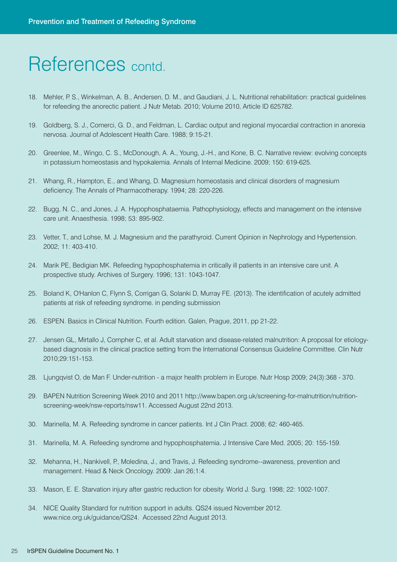### References contd.

- 18. Mehler, P. S., Winkelman, A. B., Andersen, D. M., and Gaudiani, J. L. Nutritional rehabilitation: practical guidelines for refeeding the anorectic patient. J Nutr Metab. 2010; Volume 2010, Article ID 625782.
- 19. Goldberg, S. J., Comerci, G. D., and Feldman, L. Cardiac output and regional myocardial contraction in anorexia nervosa. Journal of Adolescent Health Care. 1988; 9:15-21.
- 20. Greenlee, M., Wingo, C. S., McDonough, A. A., Young, J.-H., and Kone, B. C. Narrative review: evolving concepts in potassium homeostasis and hypokalemia. Annals of Internal Medicine. 2009; 150: 619-625.
- 21. Whang, R., Hampton, E., and Whang, D. Magnesium homeostasis and clinical disorders of magnesium deficiency. The Annals of Pharmacotherapy. 1994; 28: 220-226.
- 22. Bugg, N. C., and Jones, J. A. Hypophosphataemia. Pathophysiology, effects and management on the intensive care unit. Anaesthesia. 1998; 53: 895-902.
- 23. Vetter, T., and Lohse, M. J. Magnesium and the parathyroid. Current Opinion in Nephrology and Hypertension. 2002; 11: 403-410.
- 24. Marik PE, Bedigian MK. Refeeding hypophosphatemia in critically ill patients in an intensive care unit. A prospective study. Archives of Surgery. 1996; 131: 1043-1047.
- 25. Boland K, O'Hanlon C, Flynn S, Corrigan G, Solanki D, Murray FE. (2013). The identification of acutely admitted patients at risk of refeeding syndrome. in pending submission
- 26. ESPEN. Basics in Clinical Nutrition. Fourth edition. Galen, Prague, 2011, pp 21-22.
- 27. Jensen GL, Mirtallo J, Compher C, et al. Adult starvation and disease-related malnutrition: A proposal for etiologybased diagnosis in the clinical practice setting from the International Consensus Guideline Committee. Clin Nutr 2010;29:151-153.
- 28. Ljungqvist O, de Man F. Under-nutrition a major health problem in Europe. Nutr Hosp 2009; 24(3):368 370.
- 29. BAPEN Nutrition Screening Week 2010 and 2011 http://www.bapen.org.uk/screening-for-malnutrition/nutritionscreening-week/nsw-reports/nsw11. Accessed August 22nd 2013.
- 30. Marinella, M. A. Refeeding syndrome in cancer patients. Int J Clin Pract. 2008; 62: 460-465.
- 31. Marinella, M. A. Refeeding syndrome and hypophosphatemia. J Intensive Care Med. 2005; 20: 155-159.
- 32. Mehanna, H., Nankivell, P., Moledina, J., and Travis, J. Refeeding syndrome--awareness, prevention and management. Head & Neck Oncology. 2009: Jan 26;1:4.
- 33. Mason, E. E. Starvation injury after gastric reduction for obesity. World J. Surg. 1998; 22: 1002-1007.
- 34. NICE Quality Standard for nutrition support in adults. QS24 issued November 2012. www.nice.org.uk/guidance/QS24. Accessed 22nd August 2013.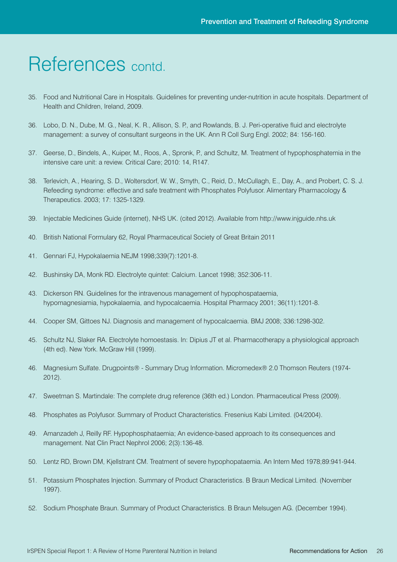### References contd.

- 35. Food and Nutritional Care in Hospitals. Guidelines for preventing under-nutrition in acute hospitals. Department of Health and Children, Ireland, 2009.
- 36. Lobo, D. N., Dube, M. G., Neal, K. R., Allison, S. P., and Rowlands, B. J. Peri-operative fluid and electrolyte management: a survey of consultant surgeons in the UK. Ann R Coll Surg Engl. 2002; 84: 156-160.
- 37. Geerse, D., Bindels, A., Kuiper, M., Roos, A., Spronk, P., and Schultz, M. Treatment of hypophosphatemia in the intensive care unit: a review. Critical Care; 2010: 14, R147.
- 38. Terlevich, A., Hearing, S. D., Woltersdorf, W. W., Smyth, C., Reid, D., McCullagh, E., Day, A., and Probert, C. S. J. Refeeding syndrome: effective and safe treatment with Phosphates Polyfusor. Alimentary Pharmacology & Therapeutics. 2003; 17: 1325-1329.
- 39. Injectable Medicines Guide (internet), NHS UK. (cited 2012). Available from http://www.injguide.nhs.uk
- 40. British National Formulary 62, Royal Pharmaceutical Society of Great Britain 2011
- 41. Gennari FJ, Hypokalaemia NEJM 1998;339(7):1201-8.
- 42. Bushinsky DA, Monk RD. Electrolyte quintet: Calcium. Lancet 1998; 352:306-11.
- 43. Dickerson RN. Guidelines for the intravenous management of hypophospataemia, hypomagnesiamia, hypokalaemia, and hypocalcaemia. Hospital Pharmacy 2001; 36(11):1201-8.
- 44. Cooper SM, Gittoes NJ. Diagnosis and management of hypocalcaemia. BMJ 2008; 336:1298-302.
- 45. Schultz NJ, Slaker RA. Electrolyte homoestasis. In: Dipius JT et al. Pharmacotherapy a physiological approach (4th ed). New York. McGraw Hill (1999).
- 46. Magnesium Sulfate. Drugpoints® Summary Drug Information. Micromedex® 2.0 Thomson Reuters (1974-2012).
- 47. Sweetman S. Martindale: The complete drug reference (36th ed.) London. Pharmaceutical Press (2009).
- 48. Phosphates as Polyfusor. Summary of Product Characteristics. Fresenius Kabi Limited. (04/2004).
- 49. Amanzadeh J, Reilly RF. Hypophosphataemia; An evidence-based approach to its consequences and management. Nat Clin Pract Nephrol 2006; 2(3):136-48.
- 50. Lentz RD, Brown DM, Kjellstrant CM. Treatment of severe hypophopataemia. An Intern Med 1978;89:941-944.
- 51. Potassium Phosphates Injection. Summary of Product Characteristics. B Braun Medical Limited. (November 1997).
- 52. Sodium Phosphate Braun. Summary of Product Characteristics. B Braun Melsugen AG. (December 1994).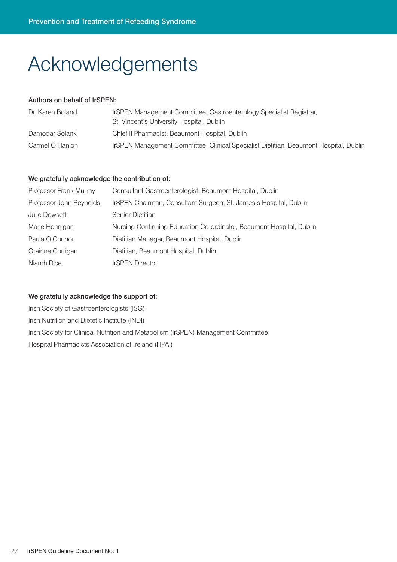# Acknowledgements

#### Authors on behalf of IrSPEN:

| Dr. Karen Boland | IrSPEN Management Committee, Gastroenterology Specialist Registrar,<br>St. Vincent's University Hospital, Dublin |
|------------------|------------------------------------------------------------------------------------------------------------------|
| Damodar Solanki  | Chief II Pharmacist, Beaumont Hospital, Dublin                                                                   |
| Carmel O'Hanlon  | IrSPEN Management Committee, Clinical Specialist Dietitian, Beaumont Hospital, Dublin                            |

#### We gratefully acknowledge the contribution of:

| Professor Frank Murray  | Consultant Gastroenterologist, Beaumont Hospital, Dublin             |
|-------------------------|----------------------------------------------------------------------|
| Professor John Reynolds | IrSPEN Chairman, Consultant Surgeon, St. James's Hospital, Dublin    |
| <b>Julie Dowsett</b>    | Senior Dietitian                                                     |
| Marie Hennigan          | Nursing Continuing Education Co-ordinator, Beaumont Hospital, Dublin |
| Paula O'Connor          | Dietitian Manager, Beaumont Hospital, Dublin                         |
| Grainne Corrigan        | Dietitian, Beaumont Hospital, Dublin                                 |
| Niamh Rice              | <b>IrSPEN Director</b>                                               |

#### We gratefully acknowledge the support of:

Irish Society of Gastroenterologists (ISG) Irish Nutrition and Dietetic Institute (INDI) Irish Society for Clinical Nutrition and Metabolism (IrSPEN) Management Committee Hospital Pharmacists Association of Ireland (HPAI)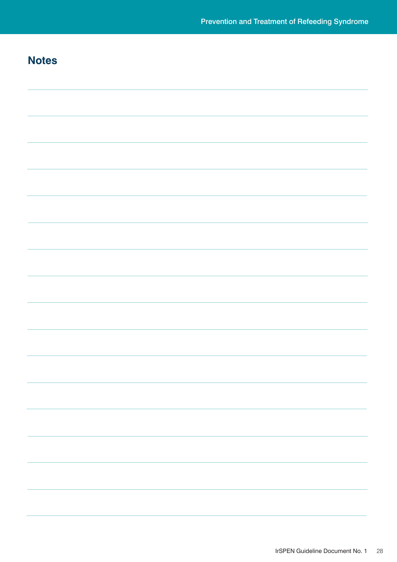### **Notes**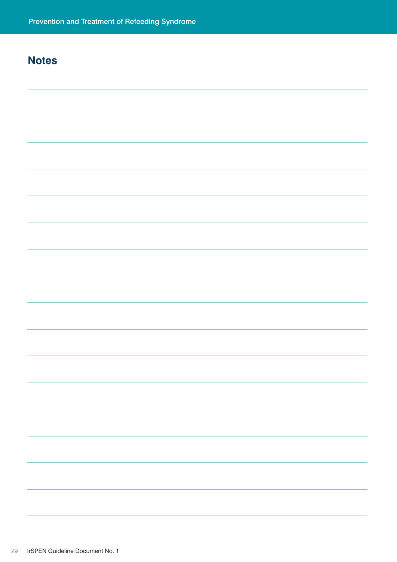### **Notes**